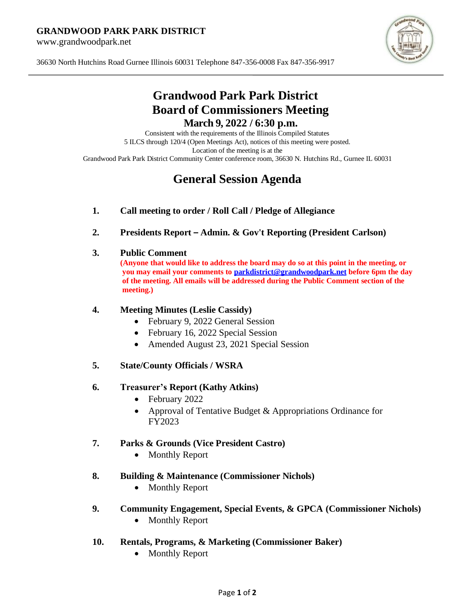#### **GRANDWOOD PARK PARK DISTRICT**

www.grandwoodpark.net



36630 North Hutchins Road Gurnee Illinois 60031 Telephone 847-356-0008 Fax 847-356-9917

# **Grandwood Park Park District Board of Commissioners Meeting March 9, 2022 / 6:30 p.m.**

Consistent with the requirements of the Illinois Compiled Statutes 5 ILCS through 120/4 (Open Meetings Act), notices of this meeting were posted. Location of the meeting is at the Grandwood Park Park District Community Center conference room, 36630 N. Hutchins Rd., Gurnee IL 60031

# **General Session Agenda**

- **1. Call meeting to order / Roll Call / Pledge of Allegiance**
- **2. Presidents Report – Admin. & Gov't Reporting (President Carlson)**

#### **3. Public Comment**

**(Anyone that would like to address the board may do so at this point in the meeting, or you may email your comments t[o parkdistrict@grandwoodpark.net](mailto:parkdistrict@grandwoodpark.net) before 6pm the day of the meeting. All emails will be addressed during the Public Comment section of the meeting.)**

# **4. Meeting Minutes (Leslie Cassidy)**

- February 9, 2022 General Session
- February 16, 2022 Special Session
- Amended August 23, 2021 Special Session
- **5. State/County Officials / WSRA**

# **6. Treasurer's Report (Kathy Atkins)**

- February 2022
- Approval of Tentative Budget & Appropriations Ordinance for FY2023

# **7. Parks & Grounds (Vice President Castro)**

• Monthly Report

#### **8. Building & Maintenance (Commissioner Nichols)**

- Monthly Report
- **9. Community Engagement, Special Events, & GPCA (Commissioner Nichols)**
	- Monthly Report
- **10. Rentals, Programs, & Marketing (Commissioner Baker)**
	- Monthly Report